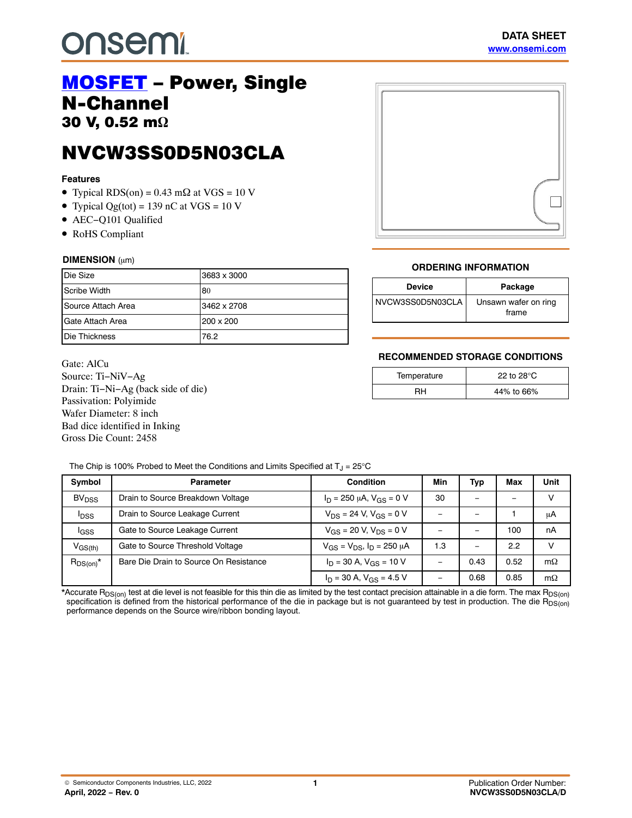# **onsem!**

## [MOSFET](https://www.onsemi.com/PowerSolutions/parametrics/809/products) – Power, Single<br>N-Channel N-Channel 30 V, 0.52 m**-**

NVCW3SS0D5N03CLA N<sub>S</sub>COT STORES NO. 2009

### **Features**

- Typical RDS(on) =  $0.43 \text{ m}\Omega$  at VGS = 10 V
- Typical  $Qg(tot) = 139$  nC at VGS = 10 V
- AEC−Q101 Qualified
- RoHS Compliant

#### **DIMENSION** (µm)

| Die Size           | 3683 x 3000 |
|--------------------|-------------|
| Scribe Width       | 80          |
| Source Attach Area | 3462 x 2708 |
| Gate Attach Area   | 200 x 200   |
| Die Thickness      | 76.2        |

Gate: AlCu Source: Ti−NiV−Ag Drain: Ti−Ni−Ag (back side of die) Passivation: Polyimide Wafer Diameter: 8 inch Bad dice identified in Inking Gross Die Count: 2458

### **ORDERING INFORMATION**

| <b>Device</b>    | Package                       |
|------------------|-------------------------------|
| NVCW3SS0D5N03CLA | Unsawn wafer on ring<br>frame |

### **RECOMMENDED STORAGE CONDITIONS**

| Temperature | 22 to 28 $\mathrm{^{\circ}C}$ |  |
|-------------|-------------------------------|--|
|             | 44% to 66%                    |  |

The Chip is 100% Probed to Meet the Conditions and Limits Specified at  $T_J = 25^{\circ}C$ 

| Symbol                  | <b>Parameter</b>                       | <b>Condition</b>                      | Min | Typ  | Max  | Unit      |
|-------------------------|----------------------------------------|---------------------------------------|-----|------|------|-----------|
| <b>BV<sub>DSS</sub></b> | Drain to Source Breakdown Voltage      | $I_D = 250 \mu A$ , $V_{GS} = 0 V$    | 30  |      |      |           |
| <b>I</b> <sub>DSS</sub> | Drain to Source Leakage Current        | $V_{DS}$ = 24 V, $V_{GS}$ = 0 V       |     |      |      | μA        |
| <b>I</b> GSS            | Gate to Source Leakage Current         | $V_{GS}$ = 20 V, $V_{DS}$ = 0 V       |     |      | 100  | nA        |
| $V_{GS(th)}$            | Gate to Source Threshold Voltage       | $V_{GS} = V_{DS}$ , $I_D = 250 \mu A$ | 1.3 |      | 2.2  |           |
| $R_{DS(on)}^*$          | Bare Die Drain to Source On Resistance | $I_D = 30$ A, $V_{GS} = 10$ V         |     | 0.43 | 0.52 | $m\Omega$ |
|                         |                                        | $I_D = 30$ A, $V_{GS} = 4.5$ V        |     | 0.68 | 0.85 | $m\Omega$ |

\*Accurate R<sub>DS(on)</sub> test at die level is not feasible for this thin die as limited by the test contact precision attainable in a die form. The max R<sub>DS(on)</sub> specification is defined from the historical performance of the die in package but is not guaranteed by test in production. The die R<sub>DS(on)</sub> performance depends on the Source wire/ribbon bonding layout.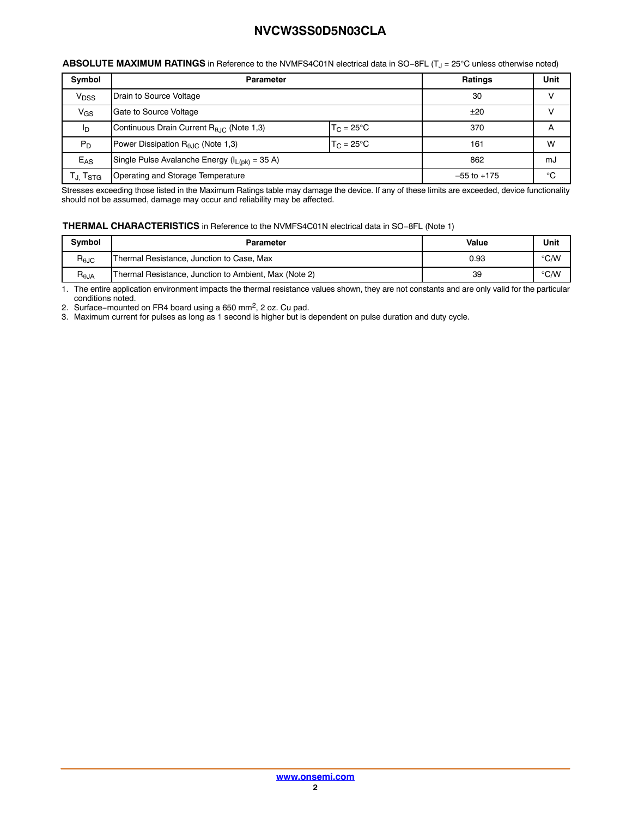| ABSOLUTE MAXIMUM RATINGS in Reference to the NVMFS4C01N electrical data in SO-8FL (T <sub>J</sub> = 25°C unless otherwise noted) |  |
|----------------------------------------------------------------------------------------------------------------------------------|--|
|----------------------------------------------------------------------------------------------------------------------------------|--|

| Symbol                           | <b>Parameter</b>                                      |                     | <b>Ratings</b>  | Unit |
|----------------------------------|-------------------------------------------------------|---------------------|-----------------|------|
| V <sub>DSS</sub>                 | Drain to Source Voltage                               |                     | 30              | V    |
| $V_{GS}$                         | Gate to Source Voltage                                |                     | $+20$           |      |
| ΙD                               | Continuous Drain Current R <sub>0.IC</sub> (Note 1,3) | $T_C = 25^{\circ}C$ | 370             | A    |
| $P_D$                            | Power Dissipation $R_{\theta JC}$ (Note 1,3)          | $T_C = 25^{\circ}C$ |                 | W    |
| $E_{AS}$                         | Single Pulse Avalanche Energy ( $I_{L(pk)} = 35$ A)   |                     | 862             | mJ   |
| T <sub>J,</sub> T <sub>STG</sub> | Operating and Storage Temperature                     |                     | $-55$ to $+175$ | °C   |

Stresses exceeding those listed in the Maximum Ratings table may damage the device. If any of these limits are exceeded, device functionality should not be assumed, damage may occur and reliability may be affected.

#### **THERMAL CHARACTERISTICS** in Reference to the NVMFS4C01N electrical data in SO−8FL (Note 1)

| <b>Symbol</b>  | Parameter                                             | Value | Unit          |
|----------------|-------------------------------------------------------|-------|---------------|
| $R_{\theta$ JC | Thermal Resistance, Junction to Case, Max             | 0.93  | $\degree$ C/W |
| $R_{\theta$ JA | Thermal Resistance, Junction to Ambient, Max (Note 2) | 39    | $\degree$ C/W |

1. The entire application environment impacts the thermal resistance values shown, they are not constants and are only valid for the particular conditions noted. 2. Surface−mounted on FR4 board using a 650 mm2, 2 oz. Cu pad.

3. Maximum current for pulses as long as 1 second is higher but is dependent on pulse duration and duty cycle.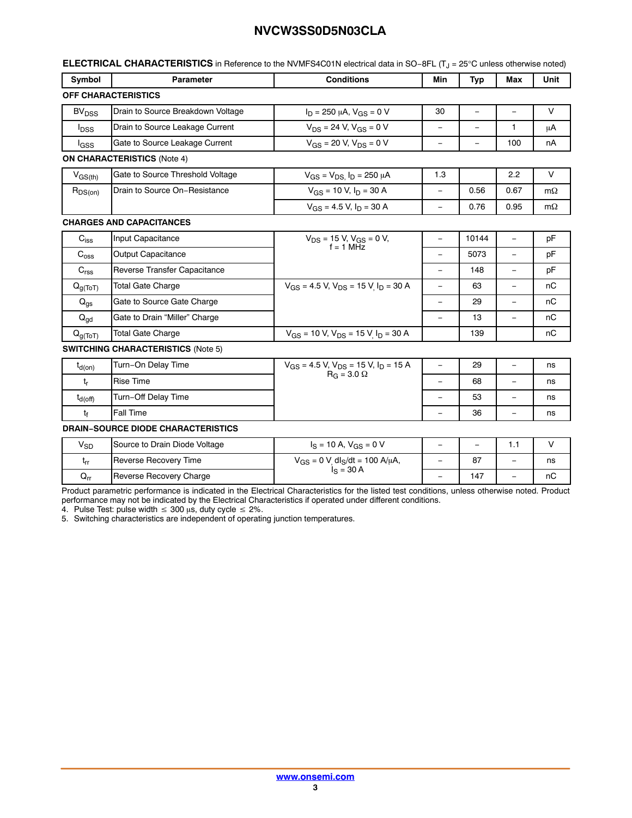| Symbol                     | <b>Parameter</b>                          | <b>Conditions</b>                                                         | Min                      | Typ      | Max                      | Unit      |
|----------------------------|-------------------------------------------|---------------------------------------------------------------------------|--------------------------|----------|--------------------------|-----------|
|                            | <b>OFF CHARACTERISTICS</b>                |                                                                           |                          |          |                          |           |
| <b>BV<sub>DSS</sub></b>    | Drain to Source Breakdown Voltage         | $I_D = 250 \mu A$ , $V_{GS} = 0 V$                                        | 30                       | $\equiv$ | $\equiv$                 | $\vee$    |
| $I_{\text{DSS}}$           | Drain to Source Leakage Current           | $V_{DS}$ = 24 V, $V_{GS}$ = 0 V                                           | $\equiv$                 | $\equiv$ | 1                        | μA        |
| $I_{GSS}$                  | Gate to Source Leakage Current            | $V_{GS}$ = 20 V, $V_{DS}$ = 0 V                                           | $\equiv$                 |          | 100                      | nA        |
|                            | <b>ON CHARACTERISTICS (Note 4)</b>        |                                                                           |                          |          |                          |           |
| $V_{GS(th)}$               | Gate to Source Threshold Voltage          | $V_{GS} = V_{DS} I_D = 250 \mu A$                                         | 1.3                      |          | 2.2                      | V         |
| $R_{DS(on)}$               | Drain to Source On-Resistance             | $V_{GS}$ = 10 V, $I_D$ = 30 A                                             | $\equiv$                 | 0.56     | 0.67                     | $m\Omega$ |
|                            |                                           | $V_{GS}$ = 4.5 V, $I_D$ = 30 A                                            | $\qquad \qquad -$        | 0.76     | 0.95                     | $m\Omega$ |
|                            | <b>CHARGES AND CAPACITANCES</b>           |                                                                           |                          |          |                          |           |
| $\mathrm{C_{iss}}$         | Input Capacitance                         | $V_{DS}$ = 15 V, $V_{GS}$ = 0 V,                                          | $\qquad \qquad -$        | 10144    | $\equiv$                 | pF        |
| $C_{\rm{oss}}$             | <b>Output Capacitance</b>                 | $f = 1$ MHz                                                               | $\overline{\phantom{0}}$ | 5073     | $\equiv$                 | pF        |
| C <sub>rss</sub>           | <b>Reverse Transfer Capacitance</b>       |                                                                           | $\equiv$                 | 148      | $\equiv$                 | pF        |
| $Q_{g(ToT)}$               | <b>Total Gate Charge</b>                  | $V_{GS}$ = 4.5 V, $V_{DS}$ = 15 V I <sub>D</sub> = 30 A                   | $\equiv$                 | 63       | $\equiv$                 | nС        |
| $Q_{gs}$                   | Gate to Source Gate Charge                |                                                                           | $\overline{\phantom{0}}$ | 29       | ÷,                       | nC        |
| $\mathsf{Q}_{\mathsf{gd}}$ | Gate to Drain "Miller" Charge             |                                                                           | $\equiv$                 | 13       | $\equiv$                 | nC        |
| $Q_{g(ToT)}$               | <b>Total Gate Charge</b>                  | $V_{GS}$ = 10 V, $V_{DS}$ = 15 V $I_D$ = 30 A                             |                          | 139      |                          | nC        |
|                            | <b>SWITCHING CHARACTERISTICS (Note 5)</b> |                                                                           |                          |          |                          |           |
| $t_{d(on)}$                | Turn-On Delay Time                        | $V_{GS}$ = 4.5 V, $V_{DS}$ = 15 V, $I_D$ = 15 A                           | $\overline{\phantom{0}}$ | 29       | $\overline{\phantom{a}}$ | ns        |
| t,                         | <b>Rise Time</b>                          | $R_G = 3.0 \Omega$                                                        | $\equiv$                 | 68       |                          | ns        |
| $t_{d(\text{off})}$        | Turn-Off Delay Time                       |                                                                           | $\overline{\phantom{0}}$ | 53       | $\qquad \qquad -$        | ns        |
| t                          | <b>Fall Time</b>                          |                                                                           | $\qquad \qquad -$        | 36       | $\equiv$                 | ns        |
|                            | <b>DRAIN-SOURCE DIODE CHARACTERISTICS</b> |                                                                           |                          |          |                          |           |
| $V_{SD}$                   | Source to Drain Diode Voltage             | $I_S = 10 A$ , $V_{GS} = 0 V$                                             | $\overline{\phantom{a}}$ | $\equiv$ | 1.1                      | V         |
| $t_{rr}$                   | Reverse Recovery Time                     | $V_{GS} = 0 V$ <sub>,</sub> dl <sub>S</sub> /dt = 100 A/µA,<br>$S = 30 A$ | $\overline{\phantom{0}}$ | 87       |                          | ns        |
| $Q_{rr}$                   | Reverse Recovery Charge                   |                                                                           | $\overline{\phantom{0}}$ | 147      | $\equiv$                 | nC        |

Product parametric performance is indicated in the Electrical Characteristics for the listed test conditions, unless otherwise noted. Product performance may not be indicated by the Electrical Characteristics if operated under different conditions.<br>4. Pulse Test: pulse width ≤ 300 μs, duty cycle ≤ 2%.

5. Switching characteristics are independent of operating junction temperatures.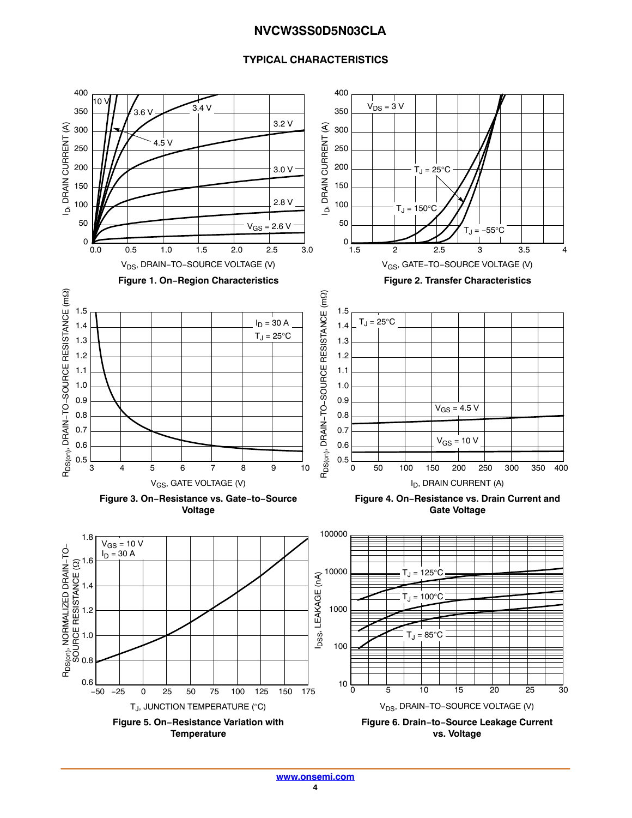## **TYPICAL CHARACTERISTICS**

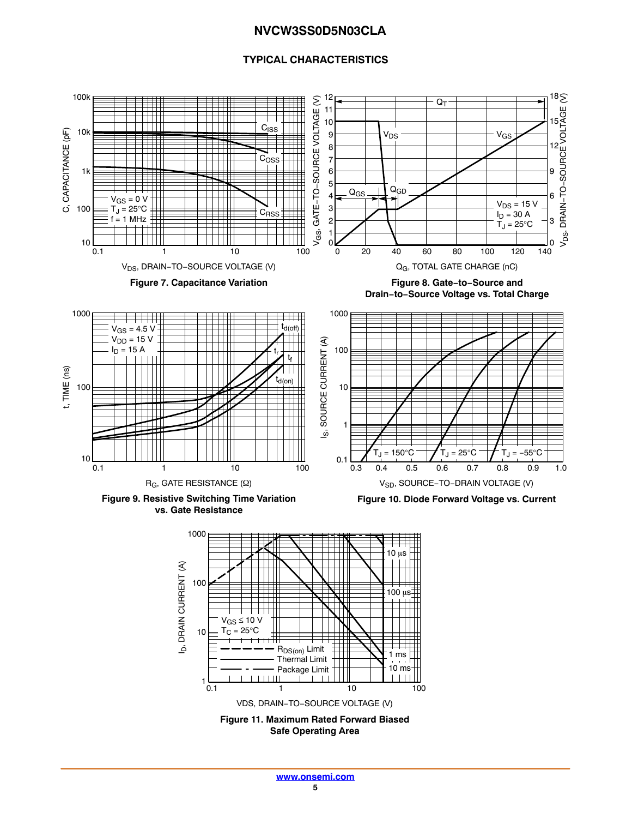## **TYPICAL CHARACTERISTICS**